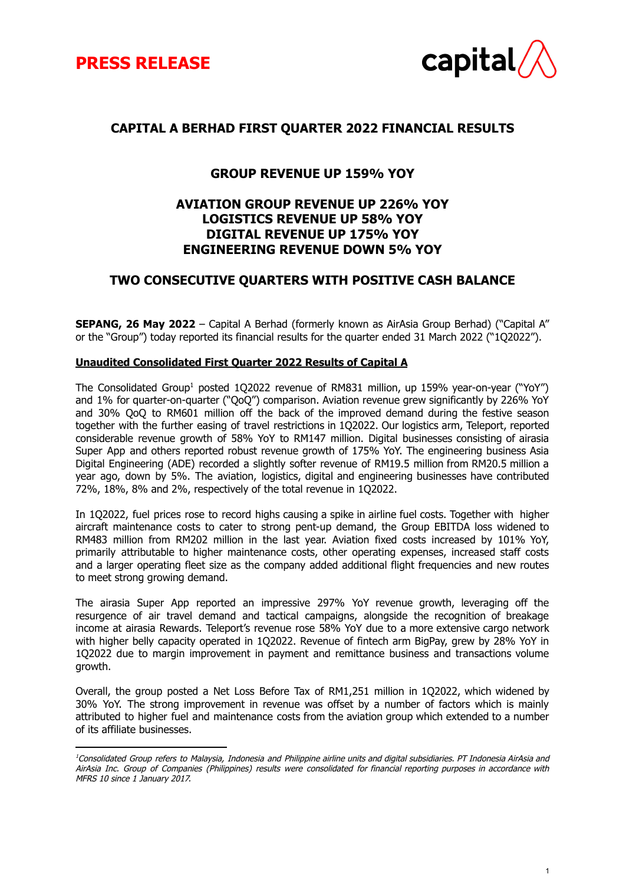



# **CAPITAL A BERHAD FIRST QUARTER 2022 FINANCIAL RESULTS**

# **GROUP REVENUE UP 159% YOY**

# **AVIATION GROUP REVENUE UP 226% YOY LOGISTICS REVENUE UP 58% YOY DIGITAL REVENUE UP 175% YOY ENGINEERING REVENUE DOWN 5% YOY**

# **TWO CONSECUTIVE QUARTERS WITH POSITIVE CASH BALANCE**

**SEPANG, 26 May 2022** – Capital A Berhad (formerly known as AirAsia Group Berhad) ("Capital A" or the "Group") today reported its financial results for the quarter ended 31 March 2022 ("1Q2022").

#### **Unaudited Consolidated First Quarter 2022 Results of Capital A**

The Consolidated Group<sup>1</sup> posted 1Q2022 revenue of RM831 million, up 159% year-on-year ("YoY") and 1% for quarter-on-quarter ("QoQ") comparison. Aviation revenue grew significantly by 226% YoY and 30% QoQ to RM601 million off the back of the improved demand during the festive season together with the further easing of travel restrictions in 1Q2022. Our logistics arm, Teleport, reported considerable revenue growth of 58% YoY to RM147 million. Digital businesses consisting of airasia Super App and others reported robust revenue growth of 175% YoY. The engineering business Asia Digital Engineering (ADE) recorded a slightly softer revenue of RM19.5 million from RM20.5 million a year ago, down by 5%. The aviation, logistics, digital and engineering businesses have contributed 72%, 18%, 8% and 2%, respectively of the total revenue in 1Q2022.

In 1Q2022, fuel prices rose to record highs causing a spike in airline fuel costs. Together with higher aircraft maintenance costs to cater to strong pent-up demand, the Group EBITDA loss widened to RM483 million from RM202 million in the last year. Aviation fixed costs increased by 101% YoY, primarily attributable to higher maintenance costs, other operating expenses, increased staff costs and a larger operating fleet size as the company added additional flight frequencies and new routes to meet strong growing demand.

The airasia Super App reported an impressive 297% YoY revenue growth, leveraging off the resurgence of air travel demand and tactical campaigns, alongside the recognition of breakage income at airasia Rewards. Teleport's revenue rose 58% YoY due to a more extensive cargo network with higher belly capacity operated in 1Q2022. Revenue of fintech arm BigPay, grew by 28% YoY in 1Q2022 due to margin improvement in payment and remittance business and transactions volume growth.

Overall, the group posted a Net Loss Before Tax of RM1,251 million in 1Q2022, which widened by 30% YoY. The strong improvement in revenue was offset by a number of factors which is mainly attributed to higher fuel and maintenance costs from the aviation group which extended to a number of its affiliate businesses.

<sup>&</sup>lt;sup>1</sup>Consolidated Group refers to Malaysia, Indonesia and Philippine airline units and digital subsidiaries. PT Indonesia AirAsia and AirAsia Inc. Group of Companies (Philippines) results were consolidated for financial reporting purposes in accordance with MFRS 10 since 1 January 2017.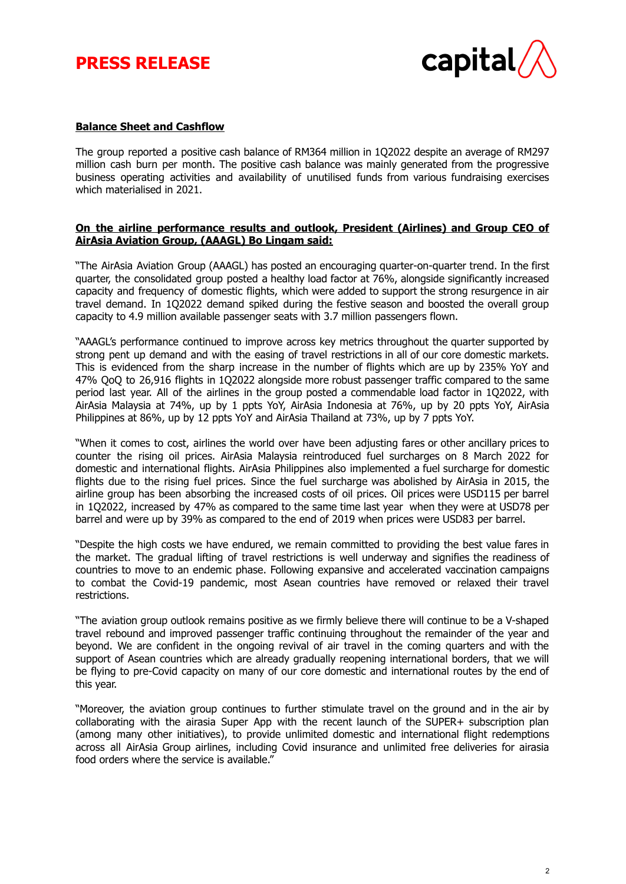# **PRESS RELEASE**



## **Balance Sheet and Cashflow**

The group reported a positive cash balance of RM364 million in 1Q2022 despite an average of RM297 million cash burn per month. The positive cash balance was mainly generated from the progressive business operating activities and availability of unutilised funds from various fundraising exercises which materialised in 2021.

## **On the airline performance results and outlook, President (Airlines) and Group CEO of AirAsia Aviation Group, (AAAGL) Bo Lingam said:**

"The AirAsia Aviation Group (AAAGL) has posted an encouraging quarter-on-quarter trend. In the first quarter, the consolidated group posted a healthy load factor at 76%, alongside significantly increased capacity and frequency of domestic flights, which were added to support the strong resurgence in air travel demand. In 1Q2022 demand spiked during the festive season and boosted the overall group capacity to 4.9 million available passenger seats with 3.7 million passengers flown.

"AAAGL's performance continued to improve across key metrics throughout the quarter supported by strong pent up demand and with the easing of travel restrictions in all of our core domestic markets. This is evidenced from the sharp increase in the number of flights which are up by 235% YoY and 47% QoQ to 26,916 flights in 1Q2022 alongside more robust passenger traffic compared to the same period last year. All of the airlines in the group posted a commendable load factor in 1Q2022, with AirAsia Malaysia at 74%, up by 1 ppts YoY, AirAsia Indonesia at 76%, up by 20 ppts YoY, AirAsia Philippines at 86%, up by 12 ppts YoY and AirAsia Thailand at 73%, up by 7 ppts YoY.

"When it comes to cost, airlines the world over have been adjusting fares or other ancillary prices to counter the rising oil prices. AirAsia Malaysia reintroduced fuel surcharges on 8 March 2022 for domestic and international flights. AirAsia Philippines also implemented a fuel surcharge for domestic flights due to the rising fuel prices. Since the fuel surcharge was abolished by AirAsia in 2015, the airline group has been absorbing the increased costs of oil prices. Oil prices were USD115 per barrel in 1Q2022, increased by 47% as compared to the same time last year when they were at USD78 per barrel and were up by 39% as compared to the end of 2019 when prices were USD83 per barrel.

"Despite the high costs we have endured, we remain committed to providing the best value fares in the market. The gradual lifting of travel restrictions is well underway and signifies the readiness of countries to move to an endemic phase. Following expansive and accelerated vaccination campaigns to combat the Covid-19 pandemic, most Asean countries have removed or relaxed their travel restrictions.

"The aviation group outlook remains positive as we firmly believe there will continue to be a V-shaped travel rebound and improved passenger traffic continuing throughout the remainder of the year and beyond. We are confident in the ongoing revival of air travel in the coming quarters and with the support of Asean countries which are already gradually reopening international borders, that we will be flying to pre-Covid capacity on many of our core domestic and international routes by the end of this year.

"Moreover, the aviation group continues to further stimulate travel on the ground and in the air by collaborating with the airasia Super App with the recent launch of the SUPER+ subscription plan (among many other initiatives), to provide unlimited domestic and international flight redemptions across all AirAsia Group airlines, including Covid insurance and unlimited free deliveries for airasia food orders where the service is available."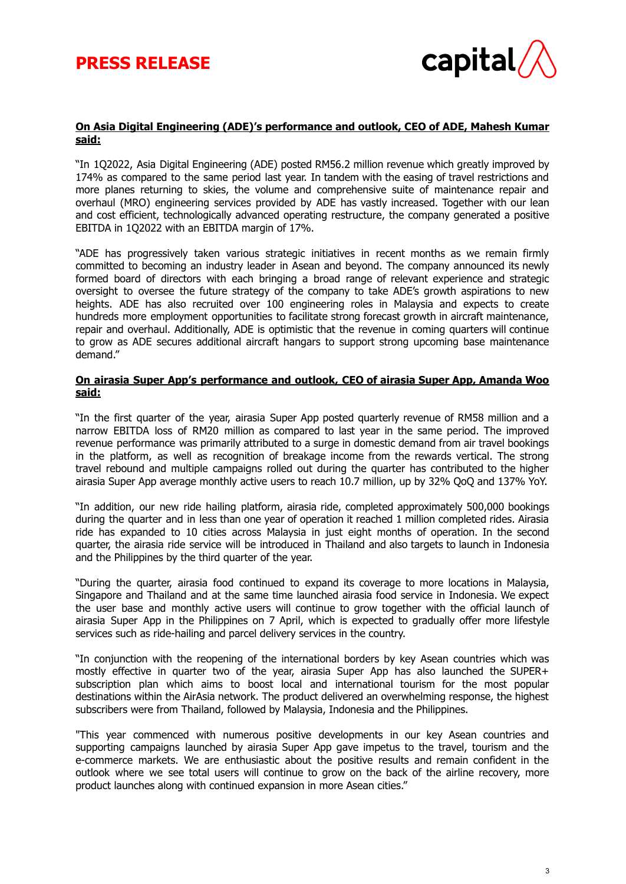

## **On Asia Digital Engineering (ADE)'s performance and outlook, CEO of ADE, Mahesh Kumar said:**

"In 1Q2022, Asia Digital Engineering (ADE) posted RM56.2 million revenue which greatly improved by 174% as compared to the same period last year. In tandem with the easing of travel restrictions and more planes returning to skies, the volume and comprehensive suite of maintenance repair and overhaul (MRO) engineering services provided by ADE has vastly increased. Together with our lean and cost efficient, technologically advanced operating restructure, the company generated a positive EBITDA in 1Q2022 with an EBITDA margin of 17%.

"ADE has progressively taken various strategic initiatives in recent months as we remain firmly committed to becoming an industry leader in Asean and beyond. The company announced its newly formed board of directors with each bringing a broad range of relevant experience and strategic oversight to oversee the future strategy of the company to take ADE's growth aspirations to new heights. ADE has also recruited over 100 engineering roles in Malaysia and expects to create hundreds more employment opportunities to facilitate strong forecast growth in aircraft maintenance, repair and overhaul. Additionally, ADE is optimistic that the revenue in coming quarters will continue to grow as ADE secures additional aircraft hangars to support strong upcoming base maintenance demand."

#### **On airasia Super App's performance and outlook, CEO of airasia Super App, Amanda Woo said:**

"In the first quarter of the year, airasia Super App posted quarterly revenue of RM58 million and a narrow EBITDA loss of RM20 million as compared to last year in the same period. The improved revenue performance was primarily attributed to a surge in domestic demand from air travel bookings in the platform, as well as recognition of breakage income from the rewards vertical. The strong travel rebound and multiple campaigns rolled out during the quarter has contributed to the higher airasia Super App average monthly active users to reach 10.7 million, up by 32% QoQ and 137% YoY.

"In addition, our new ride hailing platform, airasia ride, completed approximately 500,000 bookings during the quarter and in less than one year of operation it reached 1 million completed rides. Airasia ride has expanded to 10 cities across Malaysia in just eight months of operation. In the second quarter, the airasia ride service will be introduced in Thailand and also targets to launch in Indonesia and the Philippines by the third quarter of the year.

"During the quarter, airasia food continued to expand its coverage to more locations in Malaysia, Singapore and Thailand and at the same time launched airasia food service in Indonesia. We expect the user base and monthly active users will continue to grow together with the official launch of airasia Super App in the Philippines on 7 April, which is expected to gradually offer more lifestyle services such as ride-hailing and parcel delivery services in the country.

"In conjunction with the reopening of the international borders by key Asean countries which was mostly effective in quarter two of the year, airasia Super App has also launched the SUPER+ subscription plan which aims to boost local and international tourism for the most popular destinations within the AirAsia network. The product delivered an overwhelming response, the highest subscribers were from Thailand, followed by Malaysia, Indonesia and the Philippines.

"This year commenced with numerous positive developments in our key Asean countries and supporting campaigns launched by airasia Super App gave impetus to the travel, tourism and the e-commerce markets. We are enthusiastic about the positive results and remain confident in the outlook where we see total users will continue to grow on the back of the airline recovery, more product launches along with continued expansion in more Asean cities."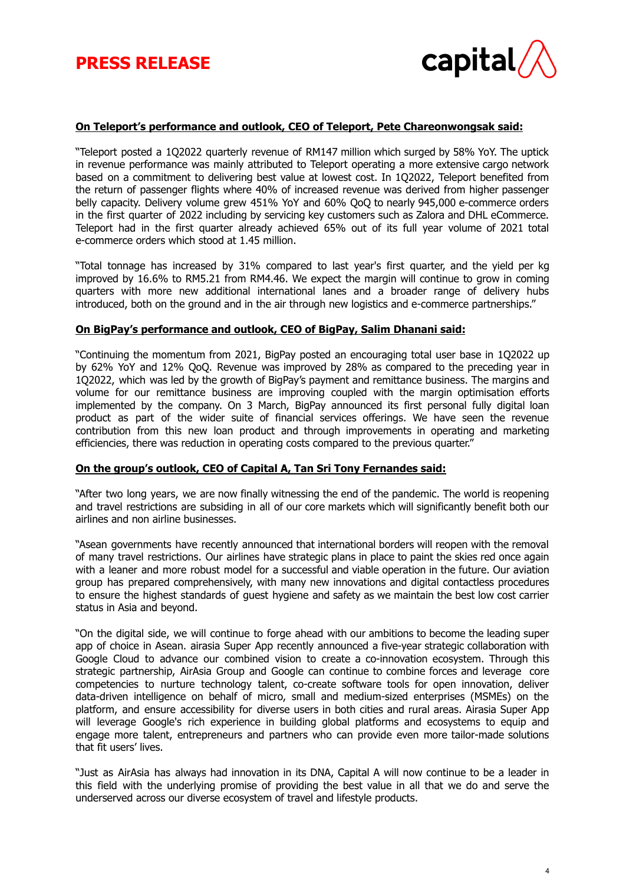

## **On Teleport's performance and outlook, CEO of Teleport, Pete Chareonwongsak said:**

"Teleport posted a 1Q2022 quarterly revenue of RM147 million which surged by 58% YoY. The uptick in revenue performance was mainly attributed to Teleport operating a more extensive cargo network based on a commitment to delivering best value at lowest cost. In 1Q2022, Teleport benefited from the return of passenger flights where 40% of increased revenue was derived from higher passenger belly capacity. Delivery volume grew 451% YoY and 60% QoQ to nearly 945,000 e-commerce orders in the first quarter of 2022 including by servicing key customers such as Zalora and DHL eCommerce. Teleport had in the first quarter already achieved 65% out of its full year volume of 2021 total e-commerce orders which stood at 1.45 million.

"Total tonnage has increased by 31% compared to last year's first quarter, and the yield per kg improved by 16.6% to RM5.21 from RM4.46. We expect the margin will continue to grow in coming quarters with more new additional international lanes and a broader range of delivery hubs introduced, both on the ground and in the air through new logistics and e-commerce partnerships."

#### **On BigPay's performance and outlook, CEO of BigPay, Salim Dhanani said:**

"Continuing the momentum from 2021, BigPay posted an encouraging total user base in 1Q2022 up by 62% YoY and 12% QoQ. Revenue was improved by 28% as compared to the preceding year in 1Q2022, which was led by the growth of BigPay's payment and remittance business. The margins and volume for our remittance business are improving coupled with the margin optimisation efforts implemented by the company. On 3 March, BigPay announced its first personal fully digital loan product as part of the wider suite of financial services offerings. We have seen the revenue contribution from this new loan product and through improvements in operating and marketing efficiencies, there was reduction in operating costs compared to the previous quarter."

#### **On the group's outlook, CEO of Capital A, Tan Sri Tony Fernandes said:**

"After two long years, we are now finally witnessing the end of the pandemic. The world is reopening and travel restrictions are subsiding in all of our core markets which will significantly benefit both our airlines and non airline businesses.

"Asean governments have recently announced that international borders will reopen with the removal of many travel restrictions. Our airlines have strategic plans in place to paint the skies red once again with a leaner and more robust model for a successful and viable operation in the future. Our aviation group has prepared comprehensively, with many new innovations and digital contactless procedures to ensure the highest standards of guest hygiene and safety as we maintain the best low cost carrier status in Asia and beyond.

"On the digital side, we will continue to forge ahead with our ambitions to become the leading super app of choice in Asean. airasia Super App recently announced a five-year strategic collaboration with Google Cloud to advance our combined vision to create a co-innovation ecosystem. Through this strategic partnership, AirAsia Group and Google can continue to combine forces and leverage core competencies to nurture technology talent, co-create software tools for open innovation, deliver data-driven intelligence on behalf of micro, small and medium-sized enterprises (MSMEs) on the platform, and ensure accessibility for diverse users in both cities and rural areas. Airasia Super App will leverage Google's rich experience in building global platforms and ecosystems to equip and engage more talent, entrepreneurs and partners who can provide even more tailor-made solutions that fit users' lives.

"Just as AirAsia has always had innovation in its DNA, Capital A will now continue to be a leader in this field with the underlying promise of providing the best value in all that we do and serve the underserved across our diverse ecosystem of travel and lifestyle products.